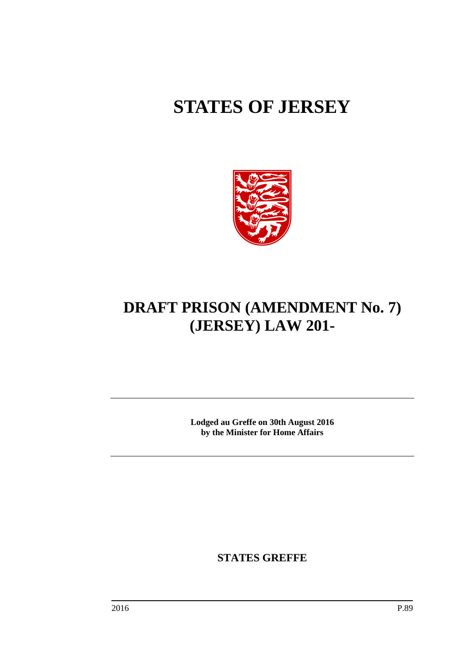# **STATES OF JERSEY**



## **DRAFT PRISON (AMENDMENT No. 7) (JERSEY) LAW 201-**

**Lodged au Greffe on 30th August 2016 by the Minister for Home Affairs**

**STATES GREFFE**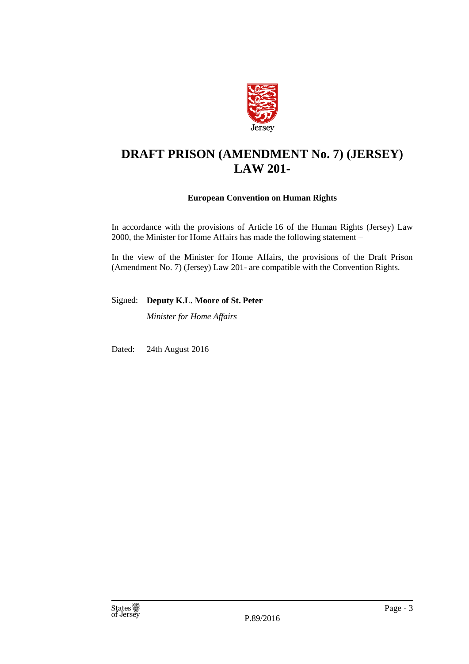

## **DRAFT PRISON (AMENDMENT No. 7) (JERSEY) LAW 201-**

#### **European Convention on Human Rights**

In accordance with the provisions of Article 16 of the Human Rights (Jersey) Law 2000, the Minister for Home Affairs has made the following statement –

In the view of the Minister for Home Affairs, the provisions of the Draft Prison (Amendment No. 7) (Jersey) Law 201- are compatible with the Convention Rights.

Signed: **Deputy K.L. Moore of St. Peter**

*Minister for Home Affairs*

Dated: 24th August 2016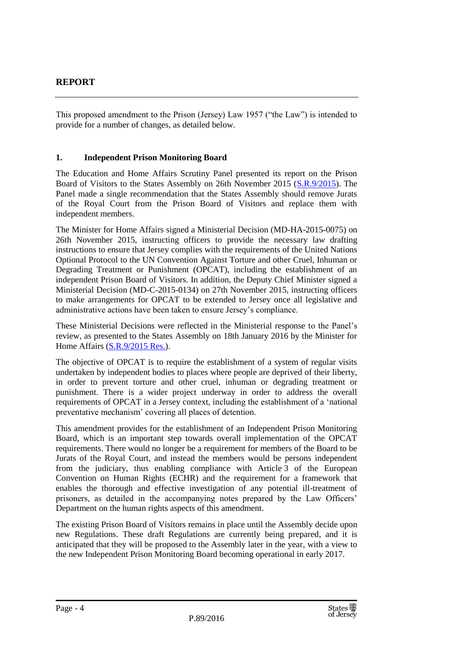This proposed amendment to the Prison (Jersey) Law 1957 ("the Law") is intended to provide for a number of changes, as detailed below.

#### **1. Independent Prison Monitoring Board**

The Education and Home Affairs Scrutiny Panel presented its report on the Prison Board of Visitors to the States Assembly on 26th November 2015 [\(S.R.9/2015\)](http://www.statesassembly.gov.je/ScrutinyReports/2015/Report%20-%20Prison%20Board%20of%20Visitors%20-%2026%20November%202015.pdf). The Panel made a single recommendation that the States Assembly should remove Jurats of the Royal Court from the Prison Board of Visitors and replace them with independent members.

The Minister for Home Affairs signed a Ministerial Decision (MD-HA-2015-0075) on 26th November 2015, instructing officers to provide the necessary law drafting instructions to ensure that Jersey complies with the requirements of the United Nations Optional Protocol to the UN Convention Against Torture and other Cruel, Inhuman or Degrading Treatment or Punishment (OPCAT), including the establishment of an independent Prison Board of Visitors. In addition, the Deputy Chief Minister signed a Ministerial Decision (MD-C-2015-0134) on 27th November 2015, instructing officers to make arrangements for OPCAT to be extended to Jersey once all legislative and administrative actions have been taken to ensure Jersey's compliance.

These Ministerial Decisions were reflected in the Ministerial response to the Panel's review, as presented to the States Assembly on 18th January 2016 by the Minister for Home Affairs [\(S.R.9/2015](http://www.statesassembly.gov.je/ScrutinyReports/2016/Ministerial%20Response%20-%20Prison%20Board%20of%20Visitors%20-%2018%20January%202016.pdf) Res.).

The objective of OPCAT is to require the establishment of a system of regular visits undertaken by independent bodies to places where people are deprived of their liberty, in order to prevent torture and other cruel, inhuman or degrading treatment or punishment. There is a wider project underway in order to address the overall requirements of OPCAT in a Jersey context, including the establishment of a 'national preventative mechanism' covering all places of detention.

This amendment provides for the establishment of an Independent Prison Monitoring Board, which is an important step towards overall implementation of the OPCAT requirements. There would no longer be a requirement for members of the Board to be Jurats of the Royal Court, and instead the members would be persons independent from the judiciary, thus enabling compliance with Article 3 of the European Convention on Human Rights (ECHR) and the requirement for a framework that enables the thorough and effective investigation of any potential ill-treatment of prisoners, as detailed in the accompanying notes prepared by the Law Officers' Department on the human rights aspects of this amendment.

The existing Prison Board of Visitors remains in place until the Assembly decide upon new Regulations. These draft Regulations are currently being prepared, and it is anticipated that they will be proposed to the Assembly later in the year, with a view to the new Independent Prison Monitoring Board becoming operational in early 2017.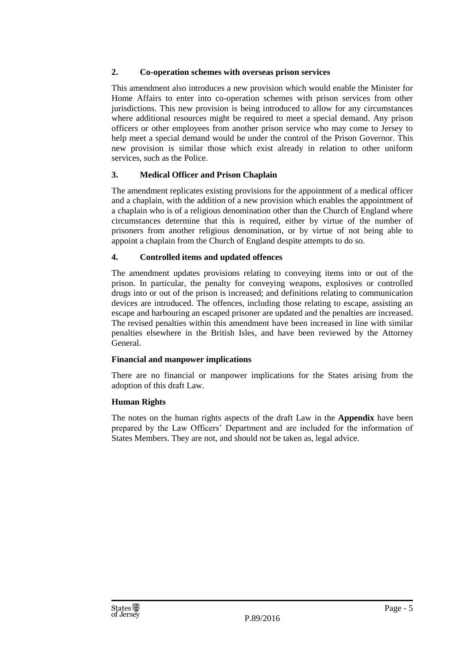#### **2. Co-operation schemes with overseas prison services**

This amendment also introduces a new provision which would enable the Minister for Home Affairs to enter into co-operation schemes with prison services from other jurisdictions. This new provision is being introduced to allow for any circumstances where additional resources might be required to meet a special demand. Any prison officers or other employees from another prison service who may come to Jersey to help meet a special demand would be under the control of the Prison Governor. This new provision is similar those which exist already in relation to other uniform services, such as the Police.

#### **3. Medical Officer and Prison Chaplain**

The amendment replicates existing provisions for the appointment of a medical officer and a chaplain, with the addition of a new provision which enables the appointment of a chaplain who is of a religious denomination other than the Church of England where circumstances determine that this is required, either by virtue of the number of prisoners from another religious denomination, or by virtue of not being able to appoint a chaplain from the Church of England despite attempts to do so.

#### **4. Controlled items and updated offences**

The amendment updates provisions relating to conveying items into or out of the prison. In particular, the penalty for conveying weapons, explosives or controlled drugs into or out of the prison is increased; and definitions relating to communication devices are introduced. The offences, including those relating to escape, assisting an escape and harbouring an escaped prisoner are updated and the penalties are increased. The revised penalties within this amendment have been increased in line with similar penalties elsewhere in the British Isles, and have been reviewed by the Attorney General.

#### **Financial and manpower implications**

There are no financial or manpower implications for the States arising from the adoption of this draft Law.

#### **Human Rights**

The notes on the human rights aspects of the draft Law in the **Appendix** have been prepared by the Law Officers' Department and are included for the information of States Members. They are not, and should not be taken as, legal advice.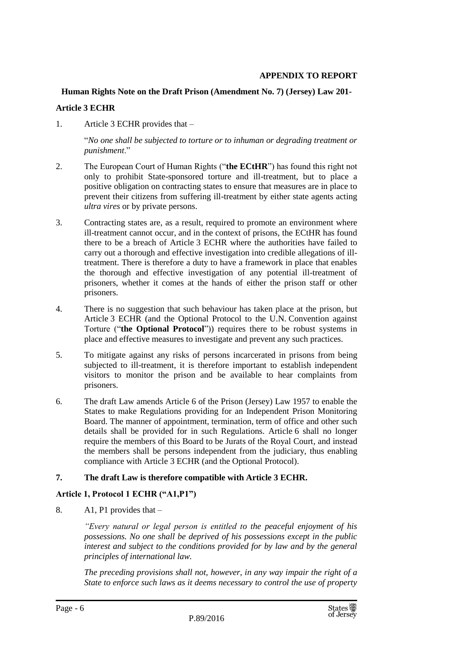#### **APPENDIX TO REPORT**

#### **Human Rights Note on the Draft Prison (Amendment No. 7) (Jersey) Law 201-**

#### **Article 3 ECHR**

1. Article 3 ECHR provides that –

"*No one shall be subjected to torture or to inhuman or degrading treatment or punishment*."

- 2. The European Court of Human Rights ("**the ECtHR**") has found this right not only to prohibit State-sponsored torture and ill-treatment, but to place a positive obligation on contracting states to ensure that measures are in place to prevent their citizens from suffering ill-treatment by either state agents acting *ultra vires* or by private persons.
- 3. Contracting states are, as a result, required to promote an environment where ill-treatment cannot occur, and in the context of prisons, the ECtHR has found there to be a breach of Article 3 ECHR where the authorities have failed to carry out a thorough and effective investigation into credible allegations of illtreatment. There is therefore a duty to have a framework in place that enables the thorough and effective investigation of any potential ill-treatment of prisoners, whether it comes at the hands of either the prison staff or other prisoners.
- 4. There is no suggestion that such behaviour has taken place at the prison, but Article 3 ECHR (and the Optional Protocol to the U.N. Convention against Torture ("**the Optional Protocol**")) requires there to be robust systems in place and effective measures to investigate and prevent any such practices.
- 5. To mitigate against any risks of persons incarcerated in prisons from being subjected to ill-treatment, it is therefore important to establish independent visitors to monitor the prison and be available to hear complaints from prisoners.
- 6. The draft Law amends Article 6 of the Prison (Jersey) Law 1957 to enable the States to make Regulations providing for an Independent Prison Monitoring Board. The manner of appointment, termination, term of office and other such details shall be provided for in such Regulations. Article 6 shall no longer require the members of this Board to be Jurats of the Royal Court, and instead the members shall be persons independent from the judiciary, thus enabling compliance with Article 3 ECHR (and the Optional Protocol).

#### **7. The draft Law is therefore compatible with Article 3 ECHR.**

#### **Article 1, Protocol 1 ECHR ("A1,P1")**

8. A1, P1 provides that –

*"Every natural or legal person is entitled to the peaceful enjoyment of his possessions. No one shall be deprived of his possessions except in the public interest and subject to the conditions provided for by law and by the general principles of international law.*

*The preceding provisions shall not, however, in any way impair the right of a State to enforce such laws as it deems necessary to control the use of property*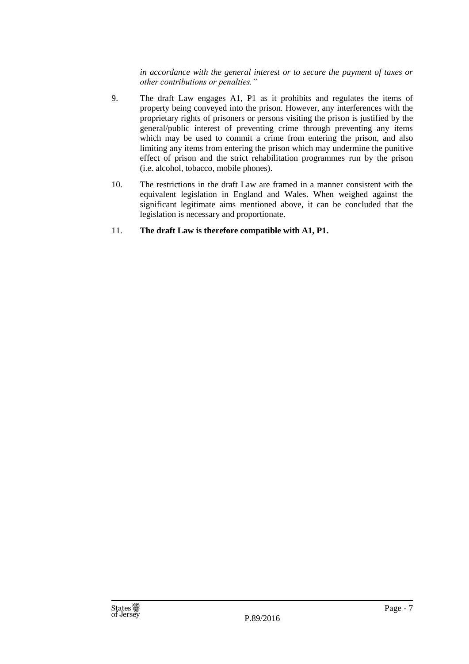*in accordance with the general interest or to secure the payment of taxes or other contributions or penalties."*

- 9. The draft Law engages A1, P1 as it prohibits and regulates the items of property being conveyed into the prison. However, any interferences with the proprietary rights of prisoners or persons visiting the prison is justified by the general/public interest of preventing crime through preventing any items which may be used to commit a crime from entering the prison, and also limiting any items from entering the prison which may undermine the punitive effect of prison and the strict rehabilitation programmes run by the prison (i.e. alcohol, tobacco, mobile phones).
- 10. The restrictions in the draft Law are framed in a manner consistent with the equivalent legislation in England and Wales. When weighed against the significant legitimate aims mentioned above, it can be concluded that the legislation is necessary and proportionate.
- 11. **The draft Law is therefore compatible with A1, P1.**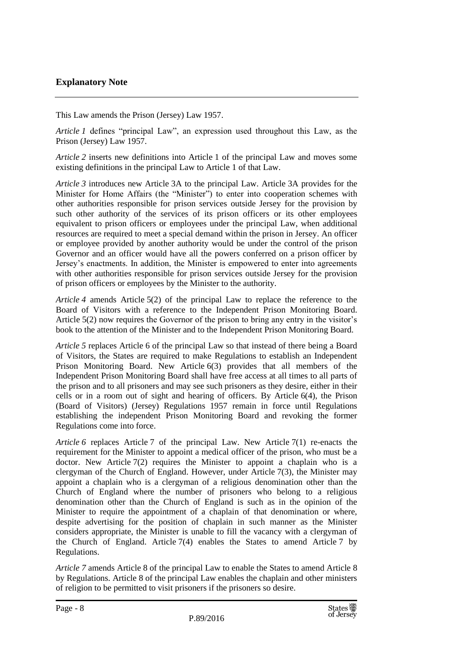This Law amends the Prison (Jersey) Law 1957.

*Article 1* defines "principal Law", an expression used throughout this Law, as the Prison (Jersey) Law 1957.

*Article 2* inserts new definitions into Article 1 of the principal Law and moves some existing definitions in the principal Law to Article 1 of that Law.

*Article 3* introduces new Article 3A to the principal Law. Article 3A provides for the Minister for Home Affairs (the "Minister") to enter into cooperation schemes with other authorities responsible for prison services outside Jersey for the provision by such other authority of the services of its prison officers or its other employees equivalent to prison officers or employees under the principal Law, when additional resources are required to meet a special demand within the prison in Jersey. An officer or employee provided by another authority would be under the control of the prison Governor and an officer would have all the powers conferred on a prison officer by Jersey's enactments. In addition, the Minister is empowered to enter into agreements with other authorities responsible for prison services outside Jersey for the provision of prison officers or employees by the Minister to the authority.

*Article 4* amends Article 5(2) of the principal Law to replace the reference to the Board of Visitors with a reference to the Independent Prison Monitoring Board. Article 5(2) now requires the Governor of the prison to bring any entry in the visitor's book to the attention of the Minister and to the Independent Prison Monitoring Board.

*Article 5* replaces Article 6 of the principal Law so that instead of there being a Board of Visitors, the States are required to make Regulations to establish an Independent Prison Monitoring Board. New Article 6(3) provides that all members of the Independent Prison Monitoring Board shall have free access at all times to all parts of the prison and to all prisoners and may see such prisoners as they desire, either in their cells or in a room out of sight and hearing of officers. By Article 6(4), the Prison (Board of Visitors) (Jersey) Regulations 1957 remain in force until Regulations establishing the independent Prison Monitoring Board and revoking the former Regulations come into force.

*Article 6* replaces Article 7 of the principal Law. New Article 7(1) re-enacts the requirement for the Minister to appoint a medical officer of the prison, who must be a doctor. New Article  $7(2)$  requires the Minister to appoint a chaplain who is a clergyman of the Church of England. However, under Article 7(3), the Minister may appoint a chaplain who is a clergyman of a religious denomination other than the Church of England where the number of prisoners who belong to a religious denomination other than the Church of England is such as in the opinion of the Minister to require the appointment of a chaplain of that denomination or where, despite advertising for the position of chaplain in such manner as the Minister considers appropriate, the Minister is unable to fill the vacancy with a clergyman of the Church of England. Article 7(4) enables the States to amend Article 7 by Regulations.

*Article 7* amends Article 8 of the principal Law to enable the States to amend Article 8 by Regulations. Article 8 of the principal Law enables the chaplain and other ministers of religion to be permitted to visit prisoners if the prisoners so desire.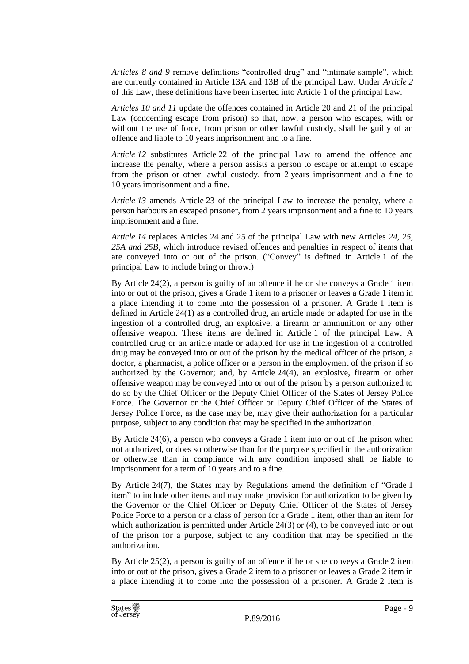*Articles 8 and 9* remove definitions "controlled drug" and "intimate sample", which are currently contained in Article 13A and 13B of the principal Law. Under *Article 2* of this Law, these definitions have been inserted into Article 1 of the principal Law.

*Articles 10 and 11* update the offences contained in Article 20 and 21 of the principal Law (concerning escape from prison) so that, now, a person who escapes, with or without the use of force, from prison or other lawful custody, shall be guilty of an offence and liable to 10 years imprisonment and to a fine.

*Article 12* substitutes Article 22 of the principal Law to amend the offence and increase the penalty, where a person assists a person to escape or attempt to escape from the prison or other lawful custody, from 2 years imprisonment and a fine to 10 years imprisonment and a fine.

*Article 13* amends Article 23 of the principal Law to increase the penalty, where a person harbours an escaped prisoner, from 2 years imprisonment and a fine to 10 years imprisonment and a fine.

*Article 14* replaces Articles 24 and 25 of the principal Law with new Articles *24, 25, 25A and 25B*, which introduce revised offences and penalties in respect of items that are conveyed into or out of the prison. ("Convey" is defined in Article 1 of the principal Law to include bring or throw.)

By Article 24(2), a person is guilty of an offence if he or she conveys a Grade 1 item into or out of the prison, gives a Grade 1 item to a prisoner or leaves a Grade 1 item in a place intending it to come into the possession of a prisoner. A Grade 1 item is defined in Article 24(1) as a controlled drug, an article made or adapted for use in the ingestion of a controlled drug, an explosive, a firearm or ammunition or any other offensive weapon. These items are defined in Article 1 of the principal Law. A controlled drug or an article made or adapted for use in the ingestion of a controlled drug may be conveyed into or out of the prison by the medical officer of the prison, a doctor, a pharmacist, a police officer or a person in the employment of the prison if so authorized by the Governor; and, by Article 24(4), an explosive, firearm or other offensive weapon may be conveyed into or out of the prison by a person authorized to do so by the Chief Officer or the Deputy Chief Officer of the States of Jersey Police Force. The Governor or the Chief Officer or Deputy Chief Officer of the States of Jersey Police Force, as the case may be, may give their authorization for a particular purpose, subject to any condition that may be specified in the authorization.

By Article 24(6), a person who conveys a Grade 1 item into or out of the prison when not authorized, or does so otherwise than for the purpose specified in the authorization or otherwise than in compliance with any condition imposed shall be liable to imprisonment for a term of 10 years and to a fine.

By Article 24(7), the States may by Regulations amend the definition of "Grade 1 item" to include other items and may make provision for authorization to be given by the Governor or the Chief Officer or Deputy Chief Officer of the States of Jersey Police Force to a person or a class of person for a Grade 1 item, other than an item for which authorization is permitted under Article 24(3) or (4), to be conveyed into or out of the prison for a purpose, subject to any condition that may be specified in the authorization.

By Article 25(2), a person is guilty of an offence if he or she conveys a Grade 2 item into or out of the prison, gives a Grade 2 item to a prisoner or leaves a Grade 2 item in a place intending it to come into the possession of a prisoner. A Grade 2 item is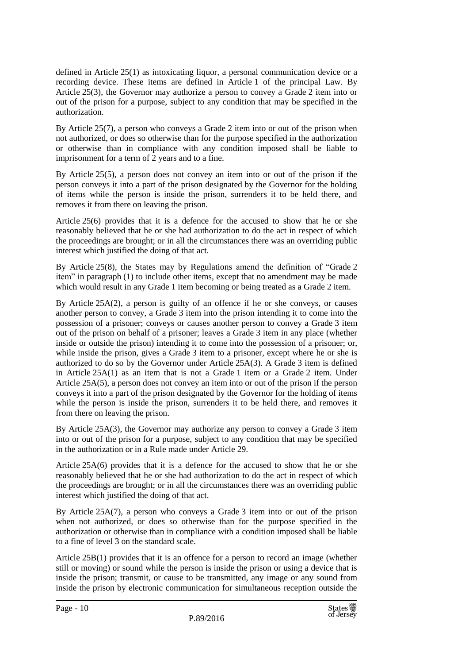defined in Article 25(1) as intoxicating liquor, a personal communication device or a recording device. These items are defined in Article 1 of the principal Law. By Article 25(3), the Governor may authorize a person to convey a Grade 2 item into or out of the prison for a purpose, subject to any condition that may be specified in the authorization.

By Article 25(7), a person who conveys a Grade 2 item into or out of the prison when not authorized, or does so otherwise than for the purpose specified in the authorization or otherwise than in compliance with any condition imposed shall be liable to imprisonment for a term of 2 years and to a fine.

By Article 25(5), a person does not convey an item into or out of the prison if the person conveys it into a part of the prison designated by the Governor for the holding of items while the person is inside the prison, surrenders it to be held there, and removes it from there on leaving the prison.

Article 25(6) provides that it is a defence for the accused to show that he or she reasonably believed that he or she had authorization to do the act in respect of which the proceedings are brought; or in all the circumstances there was an overriding public interest which justified the doing of that act.

By Article 25(8), the States may by Regulations amend the definition of "Grade 2 item" in paragraph (1) to include other items, except that no amendment may be made which would result in any Grade 1 item becoming or being treated as a Grade 2 item.

By Article 25A(2), a person is guilty of an offence if he or she conveys, or causes another person to convey, a Grade 3 item into the prison intending it to come into the possession of a prisoner; conveys or causes another person to convey a Grade 3 item out of the prison on behalf of a prisoner; leaves a Grade 3 item in any place (whether inside or outside the prison) intending it to come into the possession of a prisoner; or, while inside the prison, gives a Grade 3 item to a prisoner, except where he or she is authorized to do so by the Governor under Article 25A(3). A Grade 3 item is defined in Article 25A(1) as an item that is not a Grade 1 item or a Grade 2 item. Under Article 25A(5), a person does not convey an item into or out of the prison if the person conveys it into a part of the prison designated by the Governor for the holding of items while the person is inside the prison, surrenders it to be held there, and removes it from there on leaving the prison.

By Article 25A(3), the Governor may authorize any person to convey a Grade 3 item into or out of the prison for a purpose, subject to any condition that may be specified in the authorization or in a Rule made under Article 29.

Article 25A(6) provides that it is a defence for the accused to show that he or she reasonably believed that he or she had authorization to do the act in respect of which the proceedings are brought; or in all the circumstances there was an overriding public interest which justified the doing of that act.

By Article 25A(7), a person who conveys a Grade 3 item into or out of the prison when not authorized, or does so otherwise than for the purpose specified in the authorization or otherwise than in compliance with a condition imposed shall be liable to a fine of level 3 on the standard scale.

Article 25B(1) provides that it is an offence for a person to record an image (whether still or moving) or sound while the person is inside the prison or using a device that is inside the prison; transmit, or cause to be transmitted, any image or any sound from inside the prison by electronic communication for simultaneous reception outside the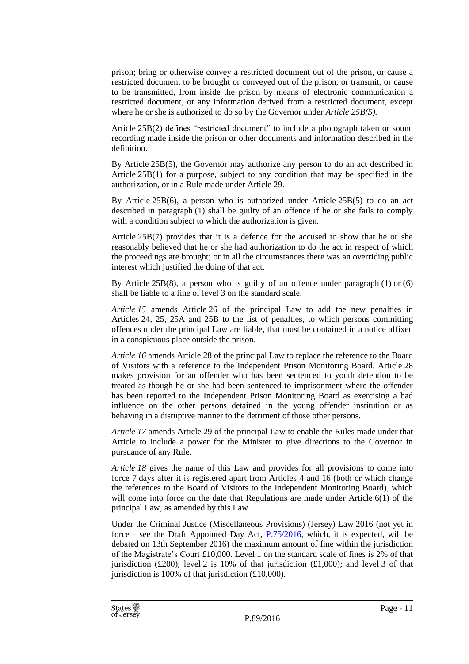prison; bring or otherwise convey a restricted document out of the prison, or cause a restricted document to be brought or conveyed out of the prison; or transmit, or cause to be transmitted, from inside the prison by means of electronic communication a restricted document, or any information derived from a restricted document, except where he or she is authorized to do so by the Governor under *Article 25B(5).*

Article 25B(2) defines "restricted document" to include a photograph taken or sound recording made inside the prison or other documents and information described in the definition.

By Article 25B(5), the Governor may authorize any person to do an act described in Article 25B(1) for a purpose, subject to any condition that may be specified in the authorization, or in a Rule made under Article 29.

By Article 25B(6), a person who is authorized under Article 25B(5) to do an act described in paragraph (1) shall be guilty of an offence if he or she fails to comply with a condition subject to which the authorization is given.

Article 25B(7) provides that it is a defence for the accused to show that he or she reasonably believed that he or she had authorization to do the act in respect of which the proceedings are brought; or in all the circumstances there was an overriding public interest which justified the doing of that act.

By Article 25B(8), a person who is guilty of an offence under paragraph (1) or (6) shall be liable to a fine of level 3 on the standard scale.

*Article 15* amends Article 26 of the principal Law to add the new penalties in Articles 24, 25, 25A and 25B to the list of penalties, to which persons committing offences under the principal Law are liable, that must be contained in a notice affixed in a conspicuous place outside the prison.

*Article 16* amends Article 28 of the principal Law to replace the reference to the Board of Visitors with a reference to the Independent Prison Monitoring Board. Article 28 makes provision for an offender who has been sentenced to youth detention to be treated as though he or she had been sentenced to imprisonment where the offender has been reported to the Independent Prison Monitoring Board as exercising a bad influence on the other persons detained in the young offender institution or as behaving in a disruptive manner to the detriment of those other persons.

*Article 17* amends Article 29 of the principal Law to enable the Rules made under that Article to include a power for the Minister to give directions to the Governor in pursuance of any Rule.

*Article 18* gives the name of this Law and provides for all provisions to come into force 7 days after it is registered apart from Articles 4 and 16 (both or which change the references to the Board of Visitors to the Independent Monitoring Board), which will come into force on the date that Regulations are made under Article 6(1) of the principal Law, as amended by this Law.

Under the Criminal Justice (Miscellaneous Provisions) (Jersey) Law 2016 (not yet in force – see the Draft Appointed Day Act, [P.75/2016,](http://www.statesassembly.gov.je/AssemblyPropositions/2016/P.75-2016.pdf) which, it is expected, will be debated on 13th September 2016) the maximum amount of fine within the jurisdiction of the Magistrate's Court £10,000. Level 1 on the standard scale of fines is 2% of that jurisdiction (£200); level 2 is 10% of that jurisdiction (£1,000); and level 3 of that jurisdiction is 100% of that jurisdiction  $(\text{\pounds}10,000)$ .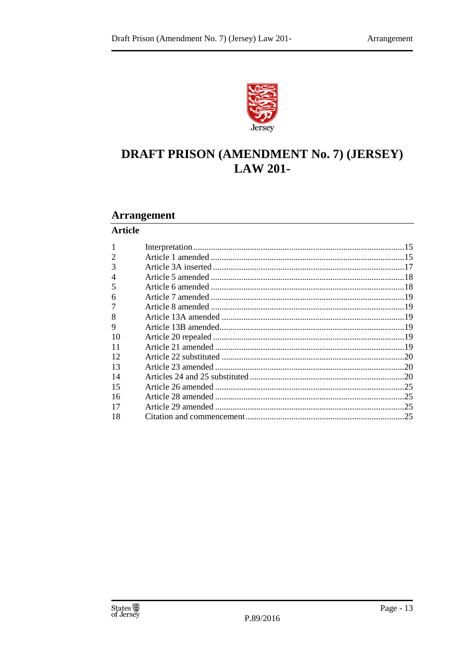

## **DRAFT PRISON (AMENDMENT No. 7) (JERSEY) LAW 201-**

#### **Arrangement**

#### **Article**

| 2  |  |
|----|--|
| 3  |  |
| 4  |  |
| 5  |  |
| 6  |  |
|    |  |
| 8  |  |
| 9  |  |
| 10 |  |
| 11 |  |
| 12 |  |
| 13 |  |
| 14 |  |
| 15 |  |
| 16 |  |
| 17 |  |
| 18 |  |
|    |  |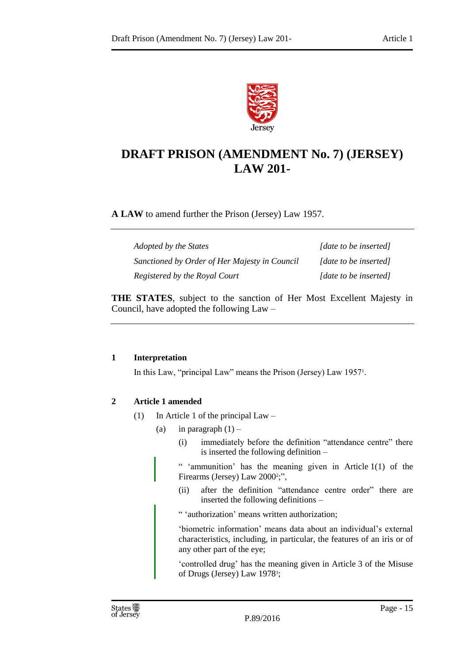

### **DRAFT PRISON (AMENDMENT No. 7) (JERSEY) LAW 201-**

**A LAW** to amend further the Prison (Jersey) Law 1957.

| Adopted by the States                         | [date to be inserted] |
|-----------------------------------------------|-----------------------|
| Sanctioned by Order of Her Majesty in Council | [date to be inserted] |
| Registered by the Royal Court                 | [date to be inserted] |

**THE STATES**, subject to the sanction of Her Most Excellent Majesty in Council, have adopted the following Law –

#### <span id="page-14-0"></span>**1 Interpretation**

In this Law, "principal Law" means the Prison (Jersey) Law 1957<sup>1</sup> .

#### <span id="page-14-1"></span>**2 Article 1 amended**

- (1) In Article 1 of the principal Law
	- (a) in paragraph  $(1)$ 
		- (i) immediately before the definition "attendance centre" there is inserted the following definition –

" 'ammunition' has the meaning given in Article 1(1) of the Firearms (Jersey) Law 2000<sup>2</sup>;",

(ii) after the definition "attendance centre order" there are inserted the following definitions –

" 'authorization' means written authorization;

'biometric information' means data about an individual's external characteristics, including, in particular, the features of an iris or of any other part of the eye;

'controlled drug' has the meaning given in Article 3 of the Misuse of Drugs (Jersey) Law 1978<sup>3</sup>;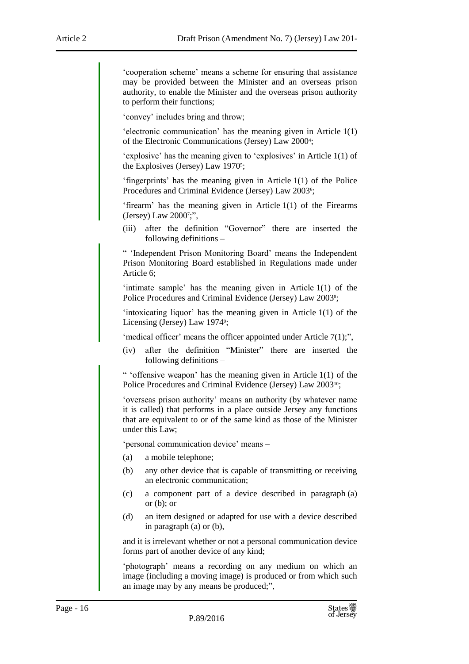'cooperation scheme' means a scheme for ensuring that assistance may be provided between the Minister and an overseas prison authority, to enable the Minister and the overseas prison authority to perform their functions;

'convey' includes bring and throw;

'electronic communication' has the meaning given in Article 1(1) of the Electronic Communications (Jersey) Law 2000<sup>4</sup> ;

'explosive' has the meaning given to 'explosives' in Article 1(1) of the Explosives (Jersey) Law 1970<sup>5</sup>;

'fingerprints' has the meaning given in Article 1(1) of the Police Procedures and Criminal Evidence (Jersey) Law 2003<sup>6</sup>;

'firearm' has the meaning given in Article 1(1) of the Firearms (Jersey) Law 2000<sup>7</sup> ;",

(iii) after the definition "Governor" there are inserted the following definitions –

" 'Independent Prison Monitoring Board' means the Independent Prison Monitoring Board established in Regulations made under Article 6;

'intimate sample' has the meaning given in Article 1(1) of the Police Procedures and Criminal Evidence (Jersey) Law 2003<sup>8</sup>;

'intoxicating liquor' has the meaning given in Article 1(1) of the Licensing (Jersey) Law 1974<sup>9</sup>;

'medical officer' means the officer appointed under Article 7(1);",

(iv) after the definition "Minister" there are inserted the following definitions –

" 'offensive weapon' has the meaning given in Article 1(1) of the Police Procedures and Criminal Evidence (Jersey) Law 200310;

'overseas prison authority' means an authority (by whatever name it is called) that performs in a place outside Jersey any functions that are equivalent to or of the same kind as those of the Minister under this Law;

'personal communication device' means –

- (a) a mobile telephone;
- (b) any other device that is capable of transmitting or receiving an electronic communication;
- (c) a component part of a device described in paragraph (a) or (b); or
- (d) an item designed or adapted for use with a device described in paragraph (a) or (b),

and it is irrelevant whether or not a personal communication device forms part of another device of any kind;

'photograph' means a recording on any medium on which an image (including a moving image) is produced or from which such an image may by any means be produced;",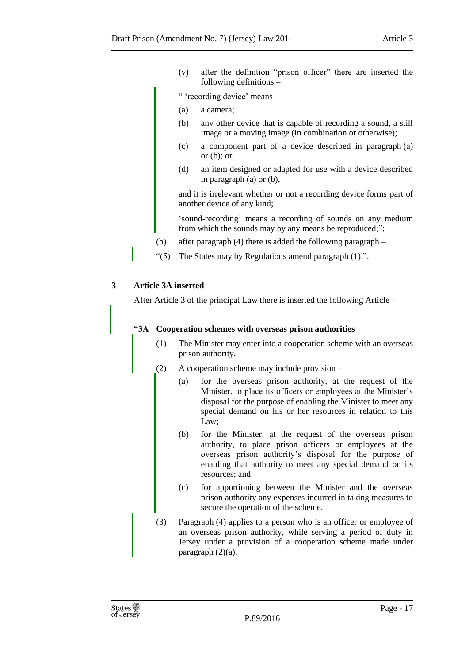(v) after the definition "prison officer" there are inserted the following definitions –

" 'recording device' means –

- (a) a camera;
- (b) any other device that is capable of recording a sound, a still image or a moving image (in combination or otherwise);
- (c) a component part of a device described in paragraph (a) or  $(b)$ ; or
- (d) an item designed or adapted for use with a device described in paragraph (a) or (b),

and it is irrelevant whether or not a recording device forms part of another device of any kind;

'sound-recording' means a recording of sounds on any medium from which the sounds may by any means be reproduced;";

- (b) after paragraph (4) there is added the following paragraph –
- "(5) The States may by Regulations amend paragraph (1).".

#### <span id="page-16-0"></span>**3 Article 3A inserted**

After Article 3 of the principal Law there is inserted the following Article –

#### **"3A Cooperation schemes with overseas prison authorities**

- (1) The Minister may enter into a cooperation scheme with an overseas prison authority.
- (2) A cooperation scheme may include provision
	- (a) for the overseas prison authority, at the request of the Minister, to place its officers or employees at the Minister's disposal for the purpose of enabling the Minister to meet any special demand on his or her resources in relation to this Law;
	- (b) for the Minister, at the request of the overseas prison authority, to place prison officers or employees at the overseas prison authority's disposal for the purpose of enabling that authority to meet any special demand on its resources; and
	- (c) for apportioning between the Minister and the overseas prison authority any expenses incurred in taking measures to secure the operation of the scheme.
- (3) Paragraph (4) applies to a person who is an officer or employee of an overseas prison authority, while serving a period of duty in Jersey under a provision of a cooperation scheme made under paragraph (2)(a).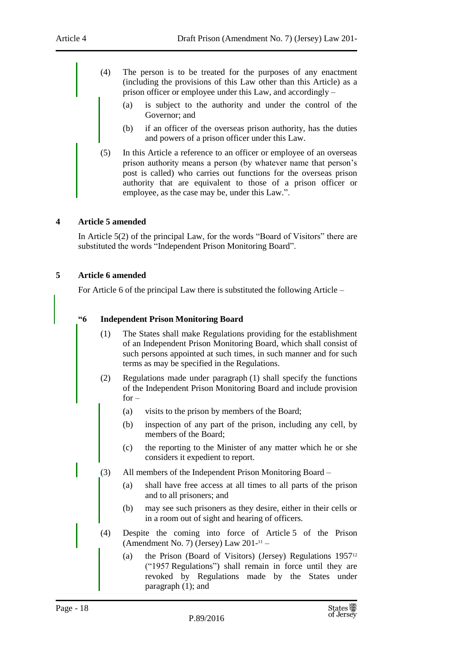- (4) The person is to be treated for the purposes of any enactment (including the provisions of this Law other than this Article) as a prison officer or employee under this Law, and accordingly –
	- (a) is subject to the authority and under the control of the Governor; and
	- (b) if an officer of the overseas prison authority, has the duties and powers of a prison officer under this Law.
- (5) In this Article a reference to an officer or employee of an overseas prison authority means a person (by whatever name that person's post is called) who carries out functions for the overseas prison authority that are equivalent to those of a prison officer or employee, as the case may be, under this Law.".

#### <span id="page-17-0"></span>**4 Article 5 amended**

In Article 5(2) of the principal Law, for the words "Board of Visitors" there are substituted the words "Independent Prison Monitoring Board".

#### <span id="page-17-1"></span>**5 Article 6 amended**

For Article 6 of the principal Law there is substituted the following Article –

#### **"6 Independent Prison Monitoring Board**

- (1) The States shall make Regulations providing for the establishment of an Independent Prison Monitoring Board, which shall consist of such persons appointed at such times, in such manner and for such terms as may be specified in the Regulations.
- (2) Regulations made under paragraph (1) shall specify the functions of the Independent Prison Monitoring Board and include provision  $for -$ 
	- (a) visits to the prison by members of the Board;
	- (b) inspection of any part of the prison, including any cell, by members of the Board;
	- (c) the reporting to the Minister of any matter which he or she considers it expedient to report.
- (3) All members of the Independent Prison Monitoring Board
	- (a) shall have free access at all times to all parts of the prison and to all prisoners; and
	- (b) may see such prisoners as they desire, either in their cells or in a room out of sight and hearing of officers.
- (4) Despite the coming into force of Article 5 of the Prison (Amendment No. 7) (Jersey) Law 201- <sup>11</sup> –
	- (a) the Prison (Board of Visitors) (Jersey) Regulations 1957<sup>12</sup> ("1957 Regulations") shall remain in force until they are revoked by Regulations made by the States under paragraph (1); and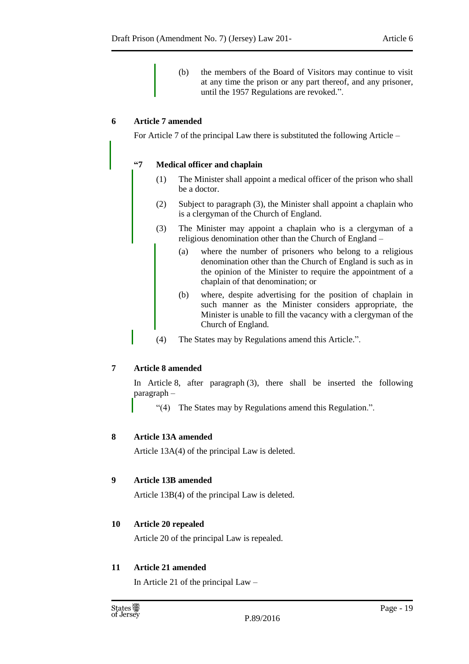(b) the members of the Board of Visitors may continue to visit at any time the prison or any part thereof, and any prisoner, until the 1957 Regulations are revoked.".

#### <span id="page-18-0"></span>**6 Article 7 amended**

For Article 7 of the principal Law there is substituted the following Article –

#### **"7 Medical officer and chaplain**

- (1) The Minister shall appoint a medical officer of the prison who shall be a doctor.
- (2) Subject to paragraph (3), the Minister shall appoint a chaplain who is a clergyman of the Church of England.
- (3) The Minister may appoint a chaplain who is a clergyman of a religious denomination other than the Church of England –
	- (a) where the number of prisoners who belong to a religious denomination other than the Church of England is such as in the opinion of the Minister to require the appointment of a chaplain of that denomination; or
	- (b) where, despite advertising for the position of chaplain in such manner as the Minister considers appropriate, the Minister is unable to fill the vacancy with a clergyman of the Church of England.
- (4) The States may by Regulations amend this Article.".

#### <span id="page-18-1"></span>**7 Article 8 amended**

In Article 8, after paragraph (3), there shall be inserted the following paragraph –

"(4) The States may by Regulations amend this Regulation.".

#### <span id="page-18-2"></span>**8 Article 13A amended**

Article 13A(4) of the principal Law is deleted.

#### <span id="page-18-3"></span>**9 Article 13B amended**

Article 13B(4) of the principal Law is deleted.

#### <span id="page-18-4"></span>**10 Article 20 repealed**

Article 20 of the principal Law is repealed.

#### <span id="page-18-5"></span>**11 Article 21 amended**

In Article 21 of the principal  $Law -$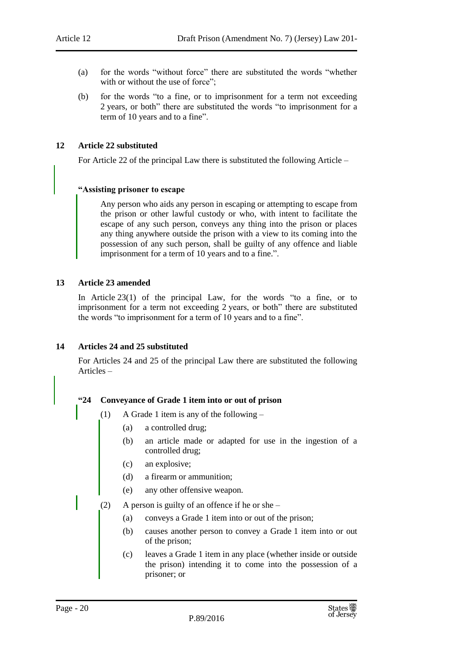- (a) for the words "without force" there are substituted the words "whether with or without the use of force";
- (b) for the words "to a fine, or to imprisonment for a term not exceeding 2 years, or both" there are substituted the words "to imprisonment for a term of 10 years and to a fine".

#### <span id="page-19-0"></span>**12 Article 22 substituted**

For Article 22 of the principal Law there is substituted the following Article –

#### **"Assisting prisoner to escape**

Any person who aids any person in escaping or attempting to escape from the prison or other lawful custody or who, with intent to facilitate the escape of any such person, conveys any thing into the prison or places any thing anywhere outside the prison with a view to its coming into the possession of any such person, shall be guilty of any offence and liable imprisonment for a term of 10 years and to a fine.".

#### <span id="page-19-1"></span>**13 Article 23 amended**

In Article 23(1) of the principal Law, for the words "to a fine, or to imprisonment for a term not exceeding 2 years, or both" there are substituted the words "to imprisonment for a term of 10 years and to a fine".

#### <span id="page-19-2"></span>**14 Articles 24 and 25 substituted**

For Articles 24 and 25 of the principal Law there are substituted the following Articles –

#### **"24 Conveyance of Grade 1 item into or out of prison**

- (1) A Grade 1 item is any of the following
	- (a) a controlled drug;
	- (b) an article made or adapted for use in the ingestion of a controlled drug;
	- (c) an explosive;
	- (d) a firearm or ammunition;
	- (e) any other offensive weapon.
- (2) A person is guilty of an offence if he or she
	- (a) conveys a Grade 1 item into or out of the prison;
	- (b) causes another person to convey a Grade 1 item into or out of the prison;
	- (c) leaves a Grade 1 item in any place (whether inside or outside the prison) intending it to come into the possession of a prisoner; or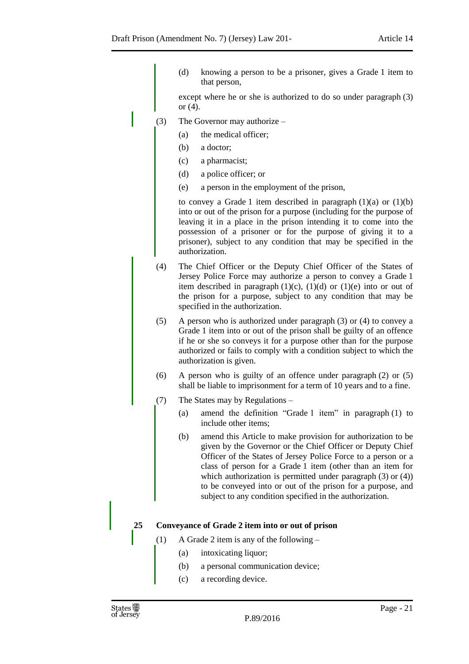(d) knowing a person to be a prisoner, gives a Grade 1 item to that person,

except where he or she is authorized to do so under paragraph (3) or (4).

- (3) The Governor may authorize
	- (a) the medical officer;
	- (b) a doctor;
	- (c) a pharmacist;
	- (d) a police officer; or
	- (e) a person in the employment of the prison,

to convey a Grade 1 item described in paragraph  $(1)(a)$  or  $(1)(b)$ into or out of the prison for a purpose (including for the purpose of leaving it in a place in the prison intending it to come into the possession of a prisoner or for the purpose of giving it to a prisoner), subject to any condition that may be specified in the authorization.

- (4) The Chief Officer or the Deputy Chief Officer of the States of Jersey Police Force may authorize a person to convey a Grade 1 item described in paragraph  $(1)(c)$ ,  $(1)(d)$  or  $(1)(e)$  into or out of the prison for a purpose, subject to any condition that may be specified in the authorization.
- (5) A person who is authorized under paragraph (3) or (4) to convey a Grade 1 item into or out of the prison shall be guilty of an offence if he or she so conveys it for a purpose other than for the purpose authorized or fails to comply with a condition subject to which the authorization is given.
- (6) A person who is guilty of an offence under paragraph (2) or (5) shall be liable to imprisonment for a term of 10 years and to a fine.
- (7) The States may by Regulations
	- (a) amend the definition "Grade 1 item" in paragraph (1) to include other items;
	- (b) amend this Article to make provision for authorization to be given by the Governor or the Chief Officer or Deputy Chief Officer of the States of Jersey Police Force to a person or a class of person for a Grade 1 item (other than an item for which authorization is permitted under paragraph (3) or (4)) to be conveyed into or out of the prison for a purpose, and subject to any condition specified in the authorization.

#### **25 Conveyance of Grade 2 item into or out of prison**

- (1) A Grade 2 item is any of the following
	- (a) intoxicating liquor;
	- (b) a personal communication device;
	- (c) a recording device.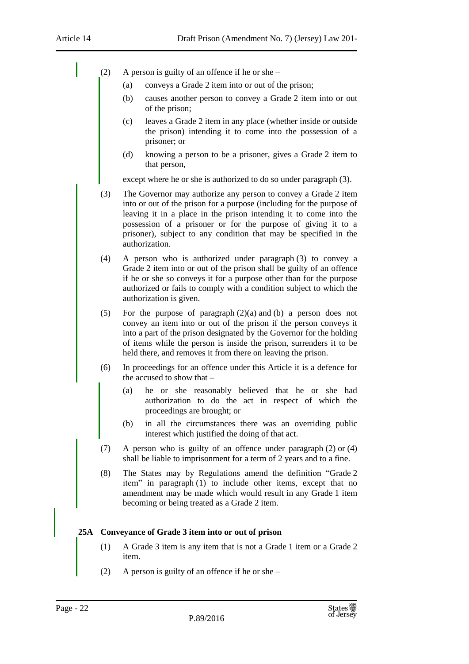- (2) A person is guilty of an offence if he or she
	- (a) conveys a Grade 2 item into or out of the prison;
	- (b) causes another person to convey a Grade 2 item into or out of the prison;
	- (c) leaves a Grade 2 item in any place (whether inside or outside the prison) intending it to come into the possession of a prisoner; or
	- (d) knowing a person to be a prisoner, gives a Grade 2 item to that person,

except where he or she is authorized to do so under paragraph (3).

- (3) The Governor may authorize any person to convey a Grade 2 item into or out of the prison for a purpose (including for the purpose of leaving it in a place in the prison intending it to come into the possession of a prisoner or for the purpose of giving it to a prisoner), subject to any condition that may be specified in the authorization.
- (4) A person who is authorized under paragraph (3) to convey a Grade 2 item into or out of the prison shall be guilty of an offence if he or she so conveys it for a purpose other than for the purpose authorized or fails to comply with a condition subject to which the authorization is given.
- (5) For the purpose of paragraph (2)(a) and (b) a person does not convey an item into or out of the prison if the person conveys it into a part of the prison designated by the Governor for the holding of items while the person is inside the prison, surrenders it to be held there, and removes it from there on leaving the prison.
- (6) In proceedings for an offence under this Article it is a defence for the accused to show that –
	- (a) he or she reasonably believed that he or she had authorization to do the act in respect of which the proceedings are brought; or
	- (b) in all the circumstances there was an overriding public interest which justified the doing of that act.
- (7) A person who is guilty of an offence under paragraph (2) or (4) shall be liable to imprisonment for a term of 2 years and to a fine.
- (8) The States may by Regulations amend the definition "Grade 2 item" in paragraph (1) to include other items, except that no amendment may be made which would result in any Grade 1 item becoming or being treated as a Grade 2 item.

#### **25A Conveyance of Grade 3 item into or out of prison**

- (1) A Grade 3 item is any item that is not a Grade 1 item or a Grade 2 item.
- (2) A person is guilty of an offence if he or she –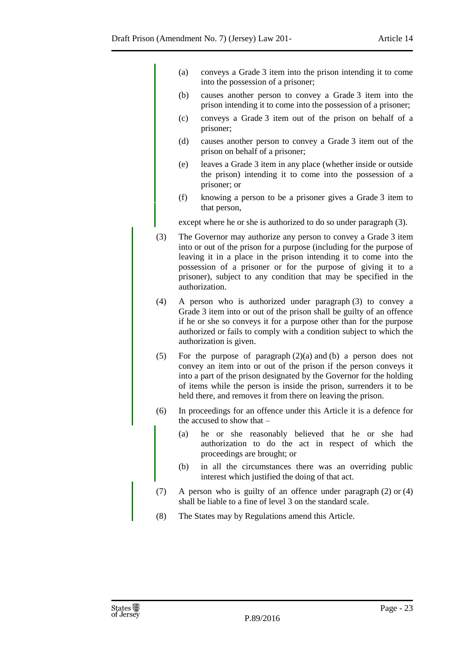- (a) conveys a Grade 3 item into the prison intending it to come into the possession of a prisoner;
- (b) causes another person to convey a Grade 3 item into the prison intending it to come into the possession of a prisoner;
- (c) conveys a Grade 3 item out of the prison on behalf of a prisoner;
- (d) causes another person to convey a Grade 3 item out of the prison on behalf of a prisoner;
- (e) leaves a Grade 3 item in any place (whether inside or outside the prison) intending it to come into the possession of a prisoner; or
- (f) knowing a person to be a prisoner gives a Grade 3 item to that person,

except where he or she is authorized to do so under paragraph (3).

- (3) The Governor may authorize any person to convey a Grade 3 item into or out of the prison for a purpose (including for the purpose of leaving it in a place in the prison intending it to come into the possession of a prisoner or for the purpose of giving it to a prisoner), subject to any condition that may be specified in the authorization.
- (4) A person who is authorized under paragraph (3) to convey a Grade 3 item into or out of the prison shall be guilty of an offence if he or she so conveys it for a purpose other than for the purpose authorized or fails to comply with a condition subject to which the authorization is given.
- (5) For the purpose of paragraph (2)(a) and (b) a person does not convey an item into or out of the prison if the person conveys it into a part of the prison designated by the Governor for the holding of items while the person is inside the prison, surrenders it to be held there, and removes it from there on leaving the prison.
- (6) In proceedings for an offence under this Article it is a defence for the accused to show that –
	- (a) he or she reasonably believed that he or she had authorization to do the act in respect of which the proceedings are brought; or
	- (b) in all the circumstances there was an overriding public interest which justified the doing of that act.
- (7) A person who is guilty of an offence under paragraph (2) or (4) shall be liable to a fine of level 3 on the standard scale.
- (8) The States may by Regulations amend this Article.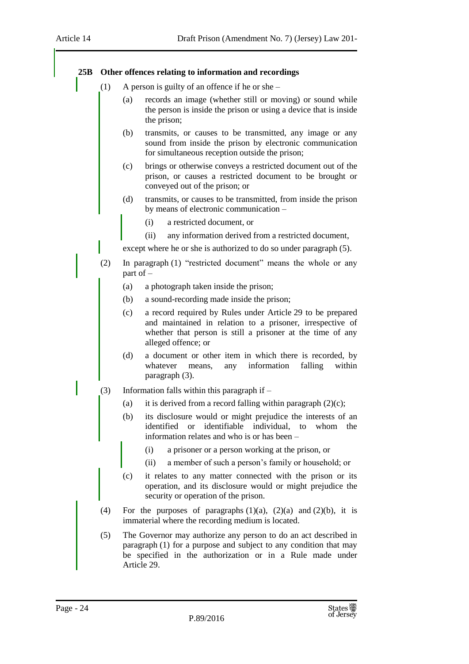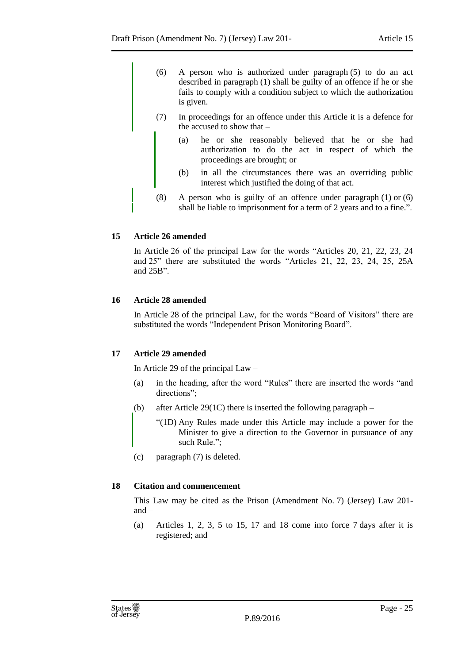- (6) A person who is authorized under paragraph (5) to do an act described in paragraph (1) shall be guilty of an offence if he or she fails to comply with a condition subject to which the authorization is given.
- (7) In proceedings for an offence under this Article it is a defence for the accused to show that –
	- (a) he or she reasonably believed that he or she had authorization to do the act in respect of which the proceedings are brought; or
	- (b) in all the circumstances there was an overriding public interest which justified the doing of that act.
- (8) A person who is guilty of an offence under paragraph (1) or (6) shall be liable to imprisonment for a term of 2 years and to a fine.".

#### <span id="page-24-0"></span>**15 Article 26 amended**

In Article 26 of the principal Law for the words "Articles 20, 21, 22, 23, 24 and 25" there are substituted the words "Articles 21, 22, 23, 24, 25, 25A and 25B".

#### <span id="page-24-1"></span>**16 Article 28 amended**

In Article 28 of the principal Law, for the words "Board of Visitors" there are substituted the words "Independent Prison Monitoring Board".

#### <span id="page-24-2"></span>**17 Article 29 amended**

In Article 29 of the principal Law –

- (a) in the heading, after the word "Rules" there are inserted the words "and directions":
- (b) after Article 29(1C) there is inserted the following paragraph
	- "(1D) Any Rules made under this Article may include a power for the Minister to give a direction to the Governor in pursuance of any such Rule.";
- (c) paragraph (7) is deleted.

#### <span id="page-24-3"></span>**18 Citation and commencement**

This Law may be cited as the Prison (Amendment No. 7) (Jersey) Law 201 and –

(a) Articles 1, 2, 3, 5 to 15, 17 and 18 come into force 7 days after it is registered; and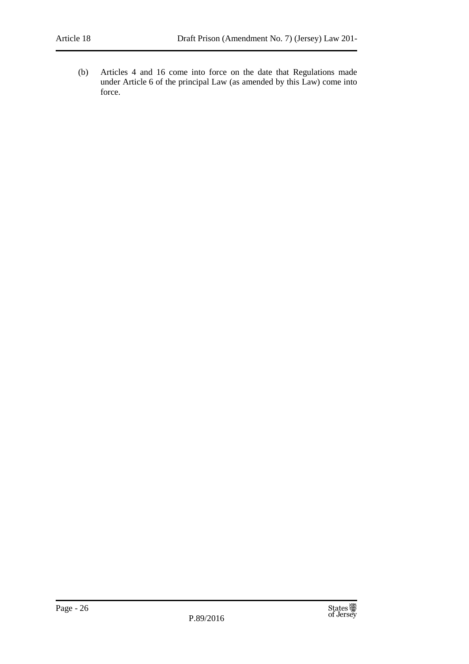(b) Articles 4 and 16 come into force on the date that Regulations made under Article 6 of the principal Law (as amended by this Law) come into force.